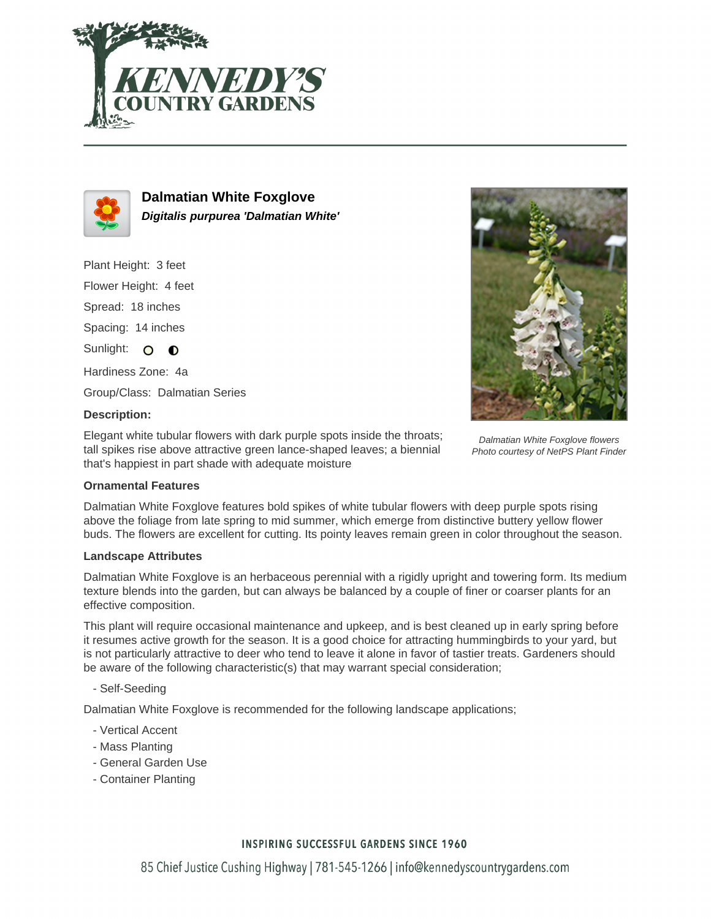



**Dalmatian White Foxglove Digitalis purpurea 'Dalmatian White'**

Plant Height: 3 feet Flower Height: 4 feet Spread: 18 inches Spacing: 14 inches Sunlight: O  $\bullet$ Hardiness Zone: 4a

Group/Class: Dalmatian Series

# **Description:**

Elegant white tubular flowers with dark purple spots inside the throats; tall spikes rise above attractive green lance-shaped leaves; a biennial that's happiest in part shade with adequate moisture



Dalmatian White Foxglove flowers Photo courtesy of NetPS Plant Finder

## **Ornamental Features**

Dalmatian White Foxglove features bold spikes of white tubular flowers with deep purple spots rising above the foliage from late spring to mid summer, which emerge from distinctive buttery yellow flower buds. The flowers are excellent for cutting. Its pointy leaves remain green in color throughout the season.

### **Landscape Attributes**

Dalmatian White Foxglove is an herbaceous perennial with a rigidly upright and towering form. Its medium texture blends into the garden, but can always be balanced by a couple of finer or coarser plants for an effective composition.

This plant will require occasional maintenance and upkeep, and is best cleaned up in early spring before it resumes active growth for the season. It is a good choice for attracting hummingbirds to your yard, but is not particularly attractive to deer who tend to leave it alone in favor of tastier treats. Gardeners should be aware of the following characteristic(s) that may warrant special consideration;

- Self-Seeding

Dalmatian White Foxglove is recommended for the following landscape applications;

- Vertical Accent
- Mass Planting
- General Garden Use
- Container Planting

## **INSPIRING SUCCESSFUL GARDENS SINCE 1960**

85 Chief Justice Cushing Highway | 781-545-1266 | info@kennedyscountrygardens.com